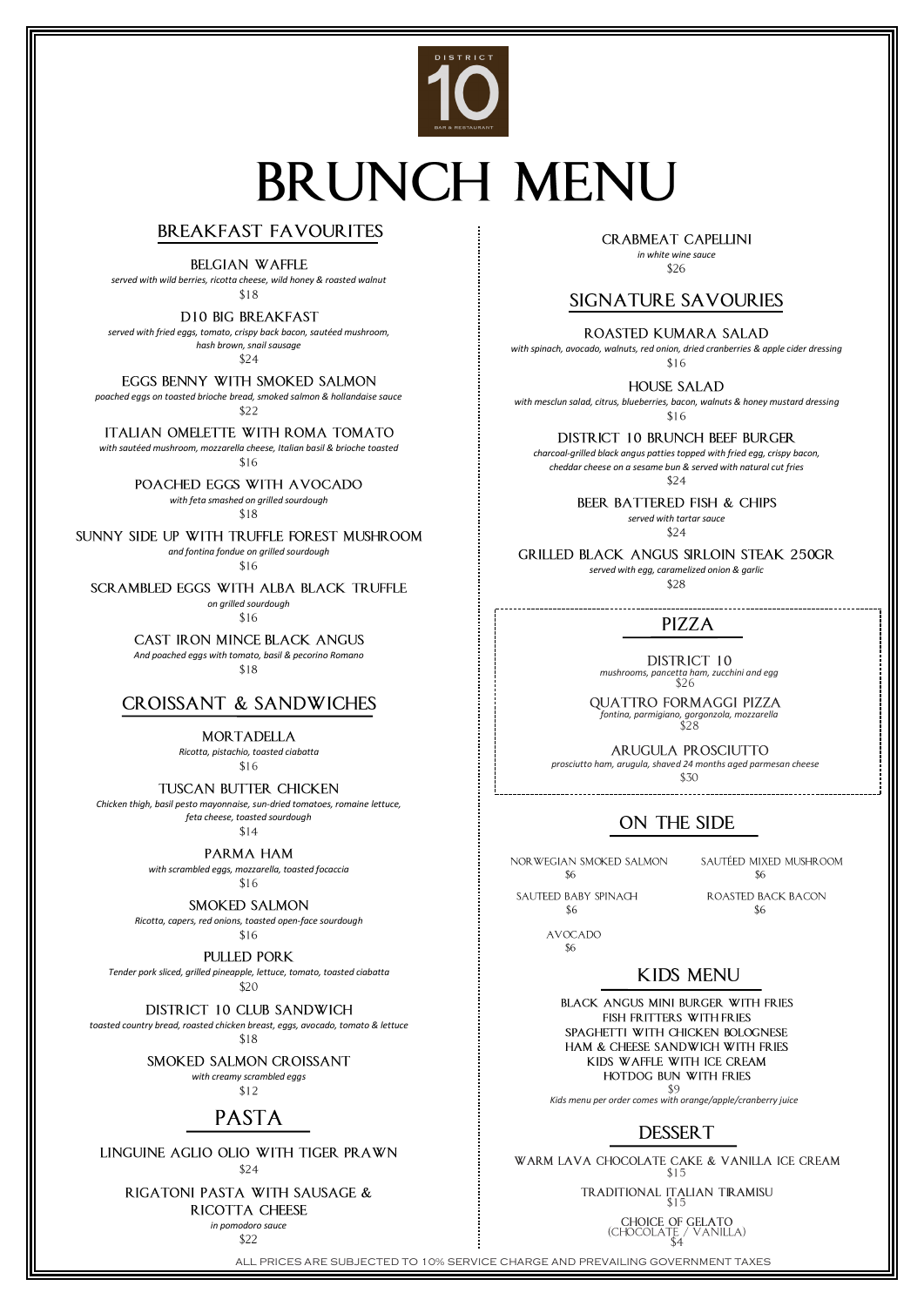

# **BRUNCH MENU**

# **BREAKFAST FAVOURITES**

**BELGIAN WAFFLE** 

ALL PRICES ARE SUBJECTED TO 10% SERVICE CHARGE AND PREVAILING GOVERNMENT TAXES

*served with wild berries, ricotta cheese, wild honey & roasted walnut*  $$18$ 

**D10 BIG BREAKFAST** 

EGGS BENNY WITH SMOKED SALMON *poached eggs on toasted brioche bread, smoked salmon & hollandaise sauce*

*with sautéed mushroom, mozzarella cheese, Italian basil & brioche toasted*  $$16$ 

 $$22$ 

POACHED EGGS WITH AVOCADO

ITALIAN OMELETTE WITH ROMA TOMATO

*with feta smashed on grilled sourdough*  $$18$ 

*served with fried eggs, tomato, crispy back bacon, sautéed mushroom, hash brown, snail sausage*

 $$24$ 

SUNNY SIDE UP WITH TRUFFLE FOREST MUSHROOM *and fontina fondue on grilled sourdough*

 $$16$ 

SCRAMBLED EGGS WITH ALBA BLACK TRUFFLE

**MORTADELLA** *Ricotta, pistachio, toasted ciabatta*

 $$16$ 

**TUSCAN BUTTER CHICKEN** *Chicken thigh, basil pesto mayonnaise, sun-dried tomatoes, romaine lettuce, feta cheese, toasted sourdough*

> *with scrambled eggs, mozzarella, toasted focaccia*  $$16$

 $$14$ 

**SMOKED SALMON** 

PARMA HAM

*Ricotta, capers, red onions, toasted open-face sourdough*  $$16$ 

**PULLED PORK** 

*Tender pork sliced, grilled pineapple, lettuce, tomato, toasted ciabatta* \$20

*on grilled sourdough*

 $$16$ 

CAST IRON MINCE BLACK ANGUS *And poached eggs with tomato, basil & pecorino Romano*  $$18$ 

# **CROISSANT & SANDWICHES**

**CRABMEAT CAPELLINI** *in white wine sauce*

\$26

# **SIGNATURE SAVOURIES**

*with spinach, avocado, walnuts, red onion, dried cranberries & apple cider dressing*  $$16$ 

ROASTED KUMARA SALAD

**HOUSE SALAD** 

*with mesclun salad, citrus, blueberries, bacon, walnuts & honey mustard dressing*  $$16$ 

**DISTRICT 10 BRUNCH BEEF BURGER** 

*charcoal-grilled black angus patties topped with fried egg, crispy bacon, cheddar cheese on a sesame bun & served with natural cut fries*  $$24$ 

BEER BATTERED FISH & CHIPS

*served with tartar sauce*  $$24$ 

**GRILLED BLACK ANGUS SIRLOIN STEAK 250GR** *served with egg, caramelized onion & garlic*

\$28

# PIZZA

BLACK ANGUS MINI BURGER WITH FRIES FISH FRITTERS WITH FRIES SPAGHETTI WITH CHICKEN BOLOGNESE HAM & CHEESE SANDWICH WITH FRIES KIDS WAFFLE WITH ICE CREAM **HOTDOG BUN WITH FRIES** -\$9 *Kids menu per order comes with orange/apple/cranberry juice*



WARM LAVA CHOCOLATE CAKE & VANILLA ICE CREAM  $$15$ 

> TRADITIONAL ITALIAN TIRAMISU \$15

> > $\begin{array}{c} \text{CHOICE OF GELATO} \\ \text{(CHOCOLATE} / \text{VANILLA)} \\ \text{$4$} \end{array}$

**DISTRICT 10** *mushrooms, pancetta ham, zucchini and egg*

**QUATTRO FORMAGGI PIZZA** *fontina, parmigiano, gorgonzola, mozzarella*

*prosciutto ham, arugula, shaved 24 months aged parmesan cheese* \$30

**ARUGULA PROSCIUTTO** 

#### ON THE SIDE j

NOR WEGIAN SMOKED SALMON \$6

SAUTÉED MIXED MUSHROOM \$6

SAUTEED BABY SPINACH \$6

ROASTED BACK BACON \$6

**AVOCADO** \$6

# **KIDS MENU**

#### DISTRICT 10 CLUB SANDWICH

*toasted country bread, roasted chicken breast, eggs, avocado, tomato & lettuce*

 $$18$ 

#### SMOKED SALMON CROISSANT

*with creamy scrambled eggs*

 $$12$ 

**PASTA** 

#### LINGUINE AGLIO OLIO WITH TIGER PRAWN  $$24$

## RIGATONI PASTA WITH SAUSAGE &

RICOTTA CHEESE

*in pomodoro sauce*

 $$22$